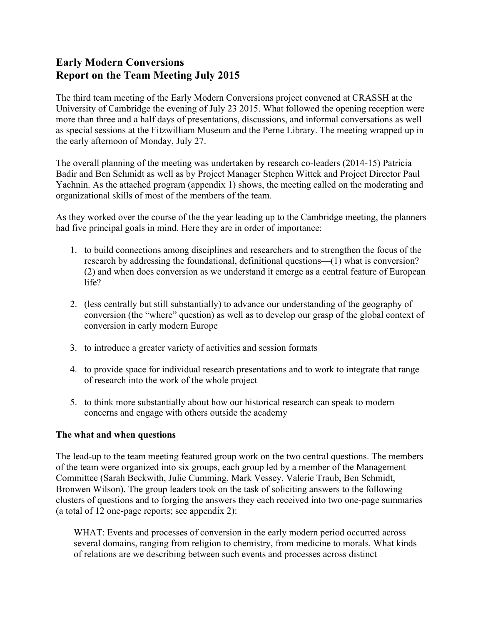# **Early Modern Conversions Report on the Team Meeting July 2015**

The third team meeting of the Early Modern Conversions project convened at CRASSH at the University of Cambridge the evening of July 23 2015. What followed the opening reception were more than three and a half days of presentations, discussions, and informal conversations as well as special sessions at the Fitzwilliam Museum and the Perne Library. The meeting wrapped up in the early afternoon of Monday, July 27.

The overall planning of the meeting was undertaken by research co-leaders (2014-15) Patricia Badir and Ben Schmidt as well as by Project Manager Stephen Wittek and Project Director Paul Yachnin. As the attached program (appendix 1) shows, the meeting called on the moderating and organizational skills of most of the members of the team.

As they worked over the course of the the year leading up to the Cambridge meeting, the planners had five principal goals in mind. Here they are in order of importance:

- 1. to build connections among disciplines and researchers and to strengthen the focus of the research by addressing the foundational, definitional questions—(1) what is conversion? (2) and when does conversion as we understand it emerge as a central feature of European life?
- 2. (less centrally but still substantially) to advance our understanding of the geography of conversion (the "where" question) as well as to develop our grasp of the global context of conversion in early modern Europe
- 3. to introduce a greater variety of activities and session formats
- 4. to provide space for individual research presentations and to work to integrate that range of research into the work of the whole project
- 5. to think more substantially about how our historical research can speak to modern concerns and engage with others outside the academy

#### **The what and when questions**

The lead-up to the team meeting featured group work on the two central questions. The members of the team were organized into six groups, each group led by a member of the Management Committee (Sarah Beckwith, Julie Cumming, Mark Vessey, Valerie Traub, Ben Schmidt, Bronwen Wilson). The group leaders took on the task of soliciting answers to the following clusters of questions and to forging the answers they each received into two one-page summaries (a total of 12 one-page reports; see appendix 2):

WHAT: Events and processes of conversion in the early modern period occurred across several domains, ranging from religion to chemistry, from medicine to morals. What kinds of relations are we describing between such events and processes across distinct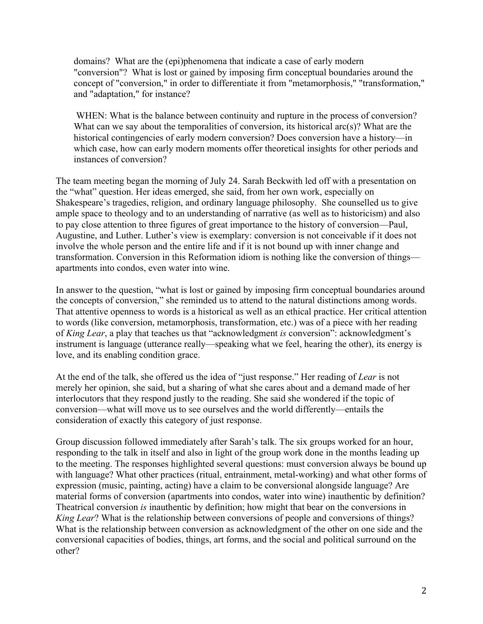domains? What are the (epi)phenomena that indicate a case of early modern "conversion"? What is lost or gained by imposing firm conceptual boundaries around the concept of "conversion," in order to differentiate it from "metamorphosis," "transformation," and "adaptation," for instance?

WHEN: What is the balance between continuity and rupture in the process of conversion? What can we say about the temporalities of conversion, its historical arc(s)? What are the historical contingencies of early modern conversion? Does conversion have a history—in which case, how can early modern moments offer theoretical insights for other periods and instances of conversion?

The team meeting began the morning of July 24. Sarah Beckwith led off with a presentation on the "what" question. Her ideas emerged, she said, from her own work, especially on Shakespeare's tragedies, religion, and ordinary language philosophy. She counselled us to give ample space to theology and to an understanding of narrative (as well as to historicism) and also to pay close attention to three figures of great importance to the history of conversion—Paul, Augustine, and Luther. Luther's view is exemplary: conversion is not conceivable if it does not involve the whole person and the entire life and if it is not bound up with inner change and transformation. Conversion in this Reformation idiom is nothing like the conversion of things apartments into condos, even water into wine.

In answer to the question, "what is lost or gained by imposing firm conceptual boundaries around the concepts of conversion," she reminded us to attend to the natural distinctions among words. That attentive openness to words is a historical as well as an ethical practice. Her critical attention to words (like conversion, metamorphosis, transformation, etc.) was of a piece with her reading of *King Lear*, a play that teaches us that "acknowledgment *is* conversion": acknowledgment's instrument is language (utterance really—speaking what we feel, hearing the other), its energy is love, and its enabling condition grace.

At the end of the talk, she offered us the idea of "just response." Her reading of *Lear* is not merely her opinion, she said, but a sharing of what she cares about and a demand made of her interlocutors that they respond justly to the reading. She said she wondered if the topic of conversion—what will move us to see ourselves and the world differently—entails the consideration of exactly this category of just response.

Group discussion followed immediately after Sarah's talk. The six groups worked for an hour, responding to the talk in itself and also in light of the group work done in the months leading up to the meeting. The responses highlighted several questions: must conversion always be bound up with language? What other practices (ritual, entrainment, metal-working) and what other forms of expression (music, painting, acting) have a claim to be conversional alongside language? Are material forms of conversion (apartments into condos, water into wine) inauthentic by definition? Theatrical conversion *is* inauthentic by definition; how might that bear on the conversions in *King Lear*? What is the relationship between conversions of people and conversions of things? What is the relationship between conversion as acknowledgment of the other on one side and the conversional capacities of bodies, things, art forms, and the social and political surround on the other?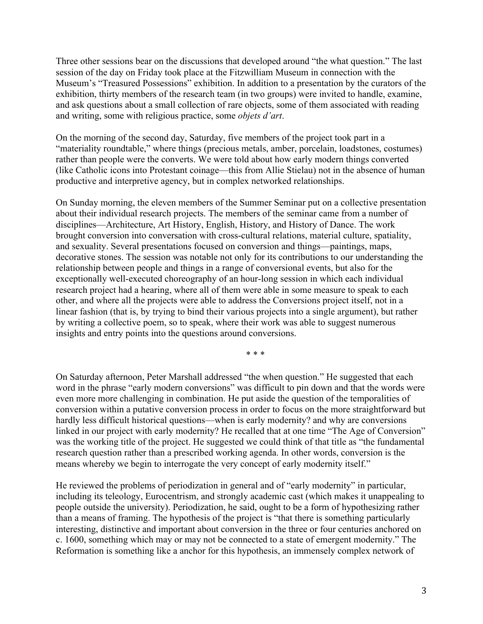Three other sessions bear on the discussions that developed around "the what question." The last session of the day on Friday took place at the Fitzwilliam Museum in connection with the Museum's "Treasured Possessions" exhibition. In addition to a presentation by the curators of the exhibition, thirty members of the research team (in two groups) were invited to handle, examine, and ask questions about a small collection of rare objects, some of them associated with reading and writing, some with religious practice, some *objets d'art*.

On the morning of the second day, Saturday, five members of the project took part in a "materiality roundtable," where things (precious metals, amber, porcelain, loadstones, costumes) rather than people were the converts. We were told about how early modern things converted (like Catholic icons into Protestant coinage—this from Allie Stielau) not in the absence of human productive and interpretive agency, but in complex networked relationships.

On Sunday morning, the eleven members of the Summer Seminar put on a collective presentation about their individual research projects. The members of the seminar came from a number of disciplines—Architecture, Art History, English, History, and History of Dance. The work brought conversion into conversation with cross-cultural relations, material culture, spatiality, and sexuality. Several presentations focused on conversion and things—paintings, maps, decorative stones. The session was notable not only for its contributions to our understanding the relationship between people and things in a range of conversional events, but also for the exceptionally well-executed choreography of an hour-long session in which each individual research project had a hearing, where all of them were able in some measure to speak to each other, and where all the projects were able to address the Conversions project itself, not in a linear fashion (that is, by trying to bind their various projects into a single argument), but rather by writing a collective poem, so to speak, where their work was able to suggest numerous insights and entry points into the questions around conversions.

\* \* \*

On Saturday afternoon, Peter Marshall addressed "the when question." He suggested that each word in the phrase "early modern conversions" was difficult to pin down and that the words were even more more challenging in combination. He put aside the question of the temporalities of conversion within a putative conversion process in order to focus on the more straightforward but hardly less difficult historical questions—when is early modernity? and why are conversions linked in our project with early modernity? He recalled that at one time "The Age of Conversion" was the working title of the project. He suggested we could think of that title as "the fundamental research question rather than a prescribed working agenda. In other words, conversion is the means whereby we begin to interrogate the very concept of early modernity itself."

He reviewed the problems of periodization in general and of "early modernity" in particular, including its teleology, Eurocentrism, and strongly academic cast (which makes it unappealing to people outside the university). Periodization, he said, ought to be a form of hypothesizing rather than a means of framing. The hypothesis of the project is "that there is something particularly interesting, distinctive and important about conversion in the three or four centuries anchored on c. 1600, something which may or may not be connected to a state of emergent modernity." The Reformation is something like a anchor for this hypothesis, an immensely complex network of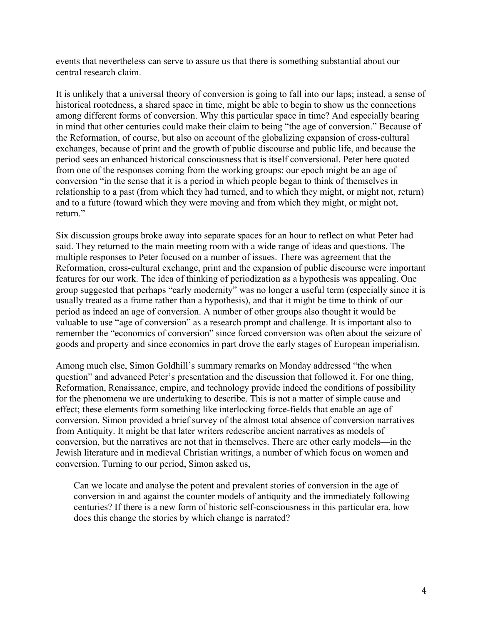events that nevertheless can serve to assure us that there is something substantial about our central research claim.

It is unlikely that a universal theory of conversion is going to fall into our laps; instead, a sense of historical rootedness, a shared space in time, might be able to begin to show us the connections among different forms of conversion. Why this particular space in time? And especially bearing in mind that other centuries could make their claim to being "the age of conversion." Because of the Reformation, of course, but also on account of the globalizing expansion of cross-cultural exchanges, because of print and the growth of public discourse and public life, and because the period sees an enhanced historical consciousness that is itself conversional. Peter here quoted from one of the responses coming from the working groups: our epoch might be an age of conversion "in the sense that it is a period in which people began to think of themselves in relationship to a past (from which they had turned, and to which they might, or might not, return) and to a future (toward which they were moving and from which they might, or might not, return."

Six discussion groups broke away into separate spaces for an hour to reflect on what Peter had said. They returned to the main meeting room with a wide range of ideas and questions. The multiple responses to Peter focused on a number of issues. There was agreement that the Reformation, cross-cultural exchange, print and the expansion of public discourse were important features for our work. The idea of thinking of periodization as a hypothesis was appealing. One group suggested that perhaps "early modernity" was no longer a useful term (especially since it is usually treated as a frame rather than a hypothesis), and that it might be time to think of our period as indeed an age of conversion. A number of other groups also thought it would be valuable to use "age of conversion" as a research prompt and challenge. It is important also to remember the "economics of conversion" since forced conversion was often about the seizure of goods and property and since economics in part drove the early stages of European imperialism.

Among much else, Simon Goldhill's summary remarks on Monday addressed "the when question" and advanced Peter's presentation and the discussion that followed it. For one thing, Reformation, Renaissance, empire, and technology provide indeed the conditions of possibility for the phenomena we are undertaking to describe. This is not a matter of simple cause and effect; these elements form something like interlocking force-fields that enable an age of conversion. Simon provided a brief survey of the almost total absence of conversion narratives from Antiquity. It might be that later writers redescribe ancient narratives as models of conversion, but the narratives are not that in themselves. There are other early models—in the Jewish literature and in medieval Christian writings, a number of which focus on women and conversion. Turning to our period, Simon asked us,

Can we locate and analyse the potent and prevalent stories of conversion in the age of conversion in and against the counter models of antiquity and the immediately following centuries? If there is a new form of historic self-consciousness in this particular era, how does this change the stories by which change is narrated?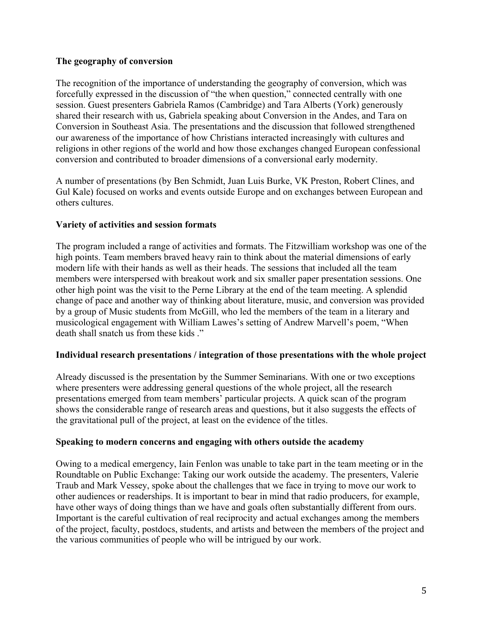## **The geography of conversion**

The recognition of the importance of understanding the geography of conversion, which was forcefully expressed in the discussion of "the when question," connected centrally with one session. Guest presenters Gabriela Ramos (Cambridge) and Tara Alberts (York) generously shared their research with us, Gabriela speaking about Conversion in the Andes, and Tara on Conversion in Southeast Asia. The presentations and the discussion that followed strengthened our awareness of the importance of how Christians interacted increasingly with cultures and religions in other regions of the world and how those exchanges changed European confessional conversion and contributed to broader dimensions of a conversional early modernity.

A number of presentations (by Ben Schmidt, Juan Luis Burke, VK Preston, Robert Clines, and Gul Kale) focused on works and events outside Europe and on exchanges between European and others cultures.

## **Variety of activities and session formats**

The program included a range of activities and formats. The Fitzwilliam workshop was one of the high points. Team members braved heavy rain to think about the material dimensions of early modern life with their hands as well as their heads. The sessions that included all the team members were interspersed with breakout work and six smaller paper presentation sessions. One other high point was the visit to the Perne Library at the end of the team meeting. A splendid change of pace and another way of thinking about literature, music, and conversion was provided by a group of Music students from McGill, who led the members of the team in a literary and musicological engagement with William Lawes's setting of Andrew Marvell's poem, "When death shall snatch us from these kids "

## **Individual research presentations / integration of those presentations with the whole project**

Already discussed is the presentation by the Summer Seminarians. With one or two exceptions where presenters were addressing general questions of the whole project, all the research presentations emerged from team members' particular projects. A quick scan of the program shows the considerable range of research areas and questions, but it also suggests the effects of the gravitational pull of the project, at least on the evidence of the titles.

## **Speaking to modern concerns and engaging with others outside the academy**

Owing to a medical emergency, Iain Fenlon was unable to take part in the team meeting or in the Roundtable on Public Exchange: Taking our work outside the academy. The presenters, Valerie Traub and Mark Vessey, spoke about the challenges that we face in trying to move our work to other audiences or readerships. It is important to bear in mind that radio producers, for example, have other ways of doing things than we have and goals often substantially different from ours. Important is the careful cultivation of real reciprocity and actual exchanges among the members of the project, faculty, postdocs, students, and artists and between the members of the project and the various communities of people who will be intrigued by our work.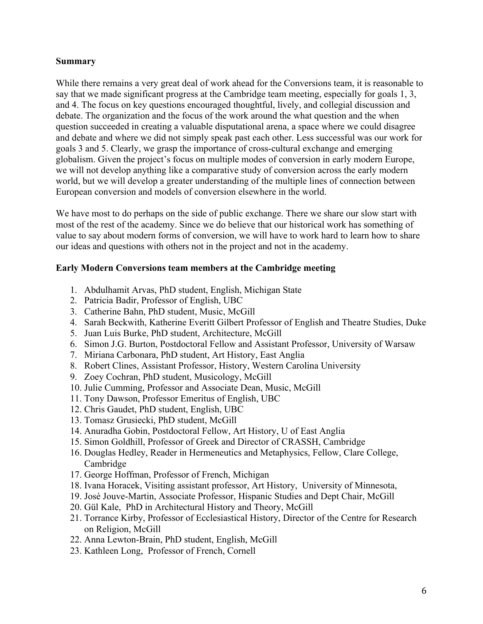#### **Summary**

While there remains a very great deal of work ahead for the Conversions team, it is reasonable to say that we made significant progress at the Cambridge team meeting, especially for goals 1, 3, and 4. The focus on key questions encouraged thoughtful, lively, and collegial discussion and debate. The organization and the focus of the work around the what question and the when question succeeded in creating a valuable disputational arena, a space where we could disagree and debate and where we did not simply speak past each other. Less successful was our work for goals 3 and 5. Clearly, we grasp the importance of cross-cultural exchange and emerging globalism. Given the project's focus on multiple modes of conversion in early modern Europe, we will not develop anything like a comparative study of conversion across the early modern world, but we will develop a greater understanding of the multiple lines of connection between European conversion and models of conversion elsewhere in the world.

We have most to do perhaps on the side of public exchange. There we share our slow start with most of the rest of the academy. Since we do believe that our historical work has something of value to say about modern forms of conversion, we will have to work hard to learn how to share our ideas and questions with others not in the project and not in the academy.

#### **Early Modern Conversions team members at the Cambridge meeting**

- 1. Abdulhamit Arvas, PhD student, English, Michigan State
- 2. Patricia Badir, Professor of English, UBC
- 3. Catherine Bahn, PhD student, Music, McGill
- 4. Sarah Beckwith, Katherine Everitt Gilbert Professor of English and Theatre Studies, Duke
- 5. Juan Luis Burke, PhD student, Architecture, McGill
- 6. Simon J.G. Burton, Postdoctoral Fellow and Assistant Professor, University of Warsaw
- 7. Miriana Carbonara, PhD student, Art History, East Anglia
- 8. Robert Clines, Assistant Professor, History, Western Carolina University
- 9. Zoey Cochran, PhD student, Musicology, McGill
- 10. Julie Cumming, Professor and Associate Dean, Music, McGill
- 11. Tony Dawson, Professor Emeritus of English, UBC
- 12. Chris Gaudet, PhD student, English, UBC
- 13. Tomasz Grusiecki, PhD student, McGill
- 14. Anuradha Gobin, Postdoctoral Fellow, Art History, U of East Anglia
- 15. Simon Goldhill, Professor of Greek and Director of CRASSH, Cambridge
- 16. Douglas Hedley, Reader in Hermeneutics and Metaphysics, Fellow, Clare College, Cambridge
- 17. George Hoffman, Professor of French, Michigan
- 18. Ivana Horacek, Visiting assistant professor, Art History, University of Minnesota,
- 19. José Jouve-Martin, Associate Professor, Hispanic Studies and Dept Chair, McGill
- 20. Gül Kale, PhD in Architectural History and Theory, McGill
- 21. Torrance Kirby, Professor of Ecclesiastical History, Director of the Centre for Research on Religion, McGill
- 22. Anna Lewton-Brain, PhD student, English, McGill
- 23. Kathleen Long, Professor of French, Cornell